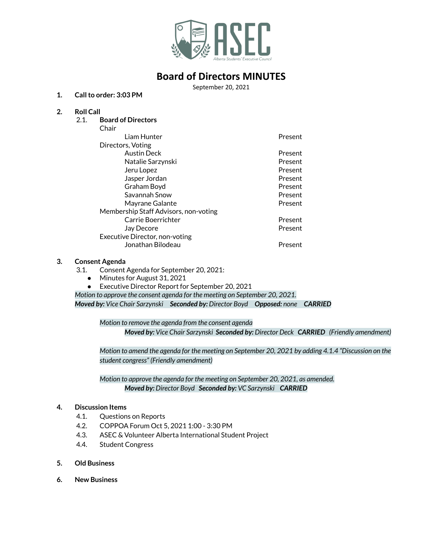

# **Board of Directors MINUTES**

September 20, 2021

## **1. Callto order: 3:03 PM**

## **2. Roll Call**

2.1. **Board of Directors**

| Present |
|---------|
|         |
| Present |
| Present |
| Present |
| Present |
| Present |
| Present |
| Present |
|         |
| Present |
| Present |
|         |
| Present |
|         |

#### **3. Consent Agenda**

- 3.1. Consent Agenda for September 20, 2021:
	- Minutes for August 31, 2021
	- Executive Director Report for September 20, 2021

*Motion to approve the consent agenda for the meeting on September 20, 2021.*

*Moved by: Vice Chair Sarzynski Seconded by: Director Boyd Opposed: none CARRIED*

*Motion to remove the agenda from the consent agenda Moved by: Vice Chair Sarzynski Seconded by: Director Deck CARRIED (Friendly amendment)*

Motion to amend the agenda for the meeting on September 20, 2021 by adding 4.1.4 "Discussion on the *student congress" (Friendly amendment)*

*Motion to approve the agenda for the meeting on September 20, 2021, as amended. Moved by: Director Boyd Seconded by: VC Sarzynski CARRIED*

#### **4. Discussion Items**

- 4.1. Questions on Reports
- 4.2. COPPOA Forum Oct 5, 2021 1:00 3:30 PM
- 4.3. ASEC & Volunteer Alberta International Student Project
- 4.4. Student Congress
- **5. Old Business**
- **6. New Business**